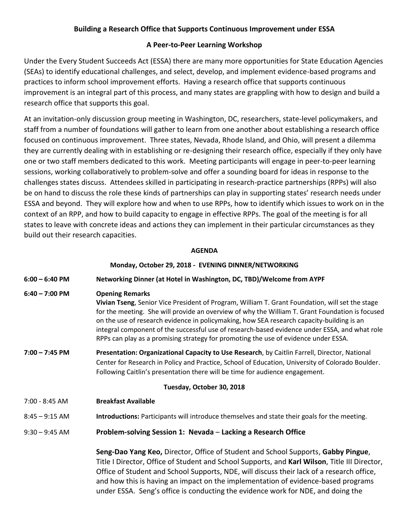# **Building a Research Office that Supports Continuous Improvement under ESSA**

## **A Peer-to-Peer Learning Workshop**

Under the Every Student Succeeds Act (ESSA) there are many more opportunities for State Education Agencies (SEAs) to identify educational challenges, and select, develop, and implement evidence-based programs and practices to inform school improvement efforts. Having a research office that supports continuous improvement is an integral part of this process, and many states are grappling with how to design and build a research office that supports this goal.

At an invitation-only discussion group meeting in Washington, DC, researchers, state-level policymakers, and staff from a number of foundations will gather to learn from one another about establishing a research office focused on continuous improvement. Three states, Nevada, Rhode Island, and Ohio, will present a dilemma they are currently dealing with in establishing or re-designing their research office, especially if they only have one or two staff members dedicated to this work. Meeting participants will engage in peer-to-peer learning sessions, working collaboratively to problem-solve and offer a sounding board for ideas in response to the challenges states discuss. Attendees skilled in participating in research-practice partnerships (RPPs) will also be on hand to discuss the role these kinds of partnerships can play in supporting states' research needs under ESSA and beyond. They will explore how and when to use RPPs, how to identify which issues to work on in the context of an RPP, and how to build capacity to engage in effective RPPs. The goal of the meeting is for all states to leave with concrete ideas and actions they can implement in their particular circumstances as they build out their research capacities.

### **AGENDA**

|                  | Monday, October 29, 2018 - EVENING DINNER/NETWORKING                                                                                                                                                                                                                                                                                                                                                                                                                                                              |
|------------------|-------------------------------------------------------------------------------------------------------------------------------------------------------------------------------------------------------------------------------------------------------------------------------------------------------------------------------------------------------------------------------------------------------------------------------------------------------------------------------------------------------------------|
| $6:00 - 6:40$ PM | Networking Dinner (at Hotel in Washington, DC, TBD)/Welcome from AYPF                                                                                                                                                                                                                                                                                                                                                                                                                                             |
| $6:40 - 7:00$ PM | <b>Opening Remarks</b><br>Vivian Tseng, Senior Vice President of Program, William T. Grant Foundation, will set the stage<br>for the meeting. She will provide an overview of why the William T. Grant Foundation is focused<br>on the use of research evidence in policymaking, how SEA research capacity-building is an<br>integral component of the successful use of research-based evidence under ESSA, and what role<br>RPPs can play as a promising strategy for promoting the use of evidence under ESSA. |
| $7:00 - 7:45$ PM | Presentation: Organizational Capacity to Use Research, by Caitlin Farrell, Director, National<br>Center for Research in Policy and Practice, School of Education, University of Colorado Boulder.<br>Following Caitlin's presentation there will be time for audience engagement.                                                                                                                                                                                                                                 |
|                  | Tuesday, October 30, 2018                                                                                                                                                                                                                                                                                                                                                                                                                                                                                         |
| 7:00 - 8:45 AM   | <b>Breakfast Available</b>                                                                                                                                                                                                                                                                                                                                                                                                                                                                                        |
| $8:45 - 9:15$ AM | Introductions: Participants will introduce themselves and state their goals for the meeting.                                                                                                                                                                                                                                                                                                                                                                                                                      |
| $9:30 - 9:45$ AM | Problem-solving Session 1: Nevada - Lacking a Research Office                                                                                                                                                                                                                                                                                                                                                                                                                                                     |
|                  | Seng-Dao Yang Keo, Director, Office of Student and School Supports, Gabby Pingue,<br>Title I Director, Office of Student and School Supports, and Karl Wilson, Title III Director,<br>Office of Student and School Supports, NDE, will discuss their lack of a research office,<br>and how this is having an impact on the implementation of evidence-based programs<br>under ESSA. Seng's office is conducting the evidence work for NDE, and doing the                                                          |